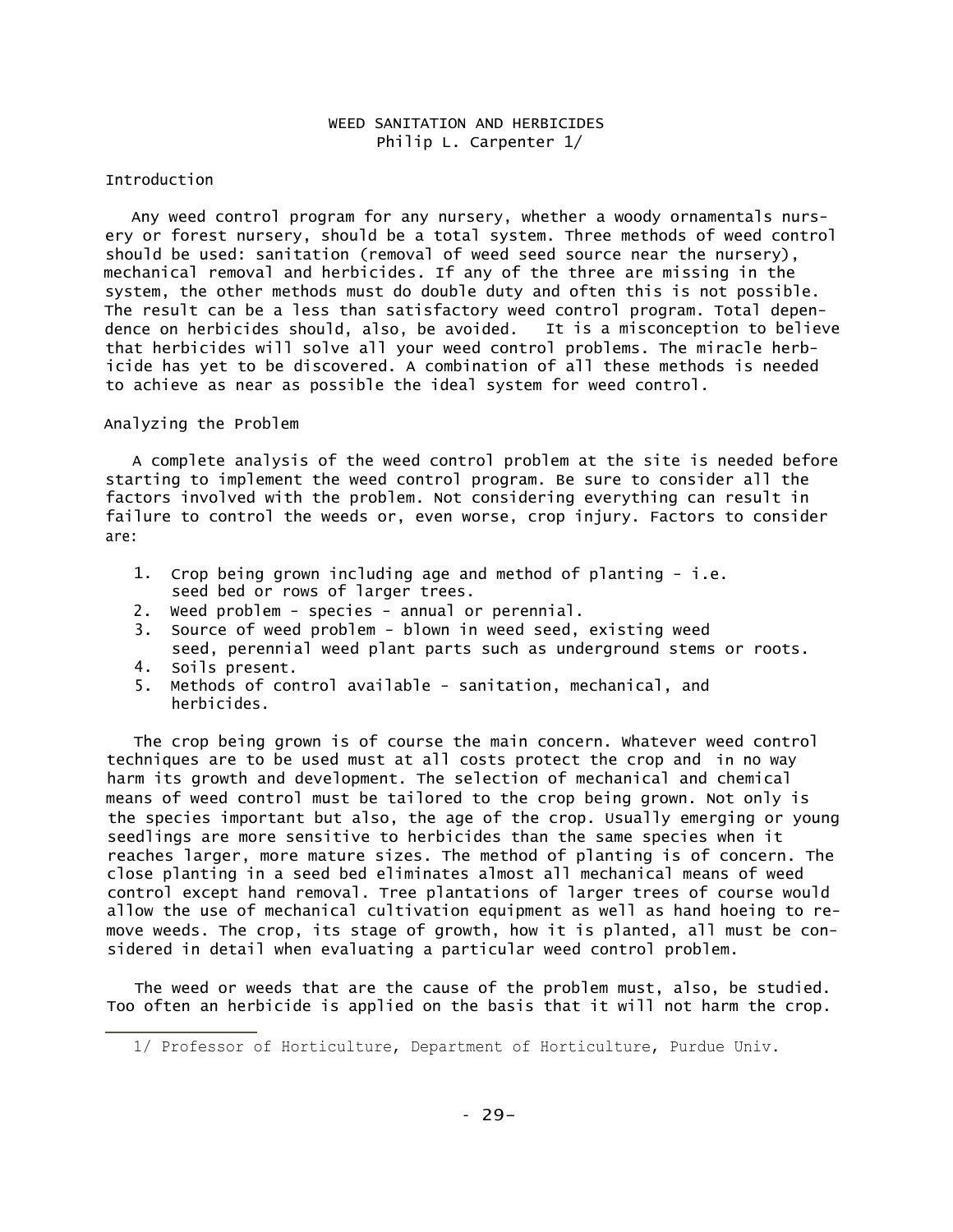## WEED SANITATION AND HERBICIDES Philip L. Carpenter 1/

### Introduction

Any weed control program for any nursery, whether a woody ornamentals nursery or forest nursery, should be a total system. Three methods of weed control should be used: sanitation (removal of weed seed source near the nursery), mechanical removal and herbicides. If any of the three are missing in the system, the other methods must do double duty and often this is not possible. The result can be a less than satisfactory weed control program. Total dependence on herbicides should, also, be avoided. It is a misconception to believe that herbicides will solve all your weed control problems. The miracle herbicide has yet to be discovered. A combination of all these methods is needed to achieve as near as possible the ideal system for weed control.

### Analyzing the Problem

A complete analysis of the weed control problem at the site is needed before starting to implement the weed control program. Be sure to consider all the factors involved with the problem. Not considering everything can result in failure to control the weeds or, even worse, crop injury. Factors to consider are:

- 1. Crop being grown including age and method of planting i.e. seed bed or rows of larger trees.
- 2. Weed problem species annual or perennial.
- 3. Source of weed problem blown in weed seed, existing weed seed, perennial weed plant parts such as underground stems or roots.
- 4. Soils present.
- 5. Methods of control available sanitation, mechanical, and herbicides.

The crop being grown is of course the main concern. Whatever weed control techniques are to be used must at all costs protect the crop and in no way harm its growth and development. The selection of mechanical and chemical means of weed control must be tailored to the crop being grown. Not only is the species important but also, the age of the crop. Usually emerging or young seedlings are more sensitive to herbicides than the same species when it reaches larger, more mature sizes. The method of planting is of concern. The close planting in a seed bed eliminates almost all mechanical means of weed control except hand removal. Tree plantations of larger trees of course would allow the use of mechanical cultivation equipment as well as hand hoeing to remove weeds. The crop, its stage of growth, how it is planted, all must be considered in detail when evaluating a particular weed control problem.

The weed or weeds that are the cause of the problem must, also, be studied. Too often an herbicide is applied on the basis that it will not harm the crop.

<sup>1/</sup> Professor of Horticulture, Department of Horticulture, Purdue Univ.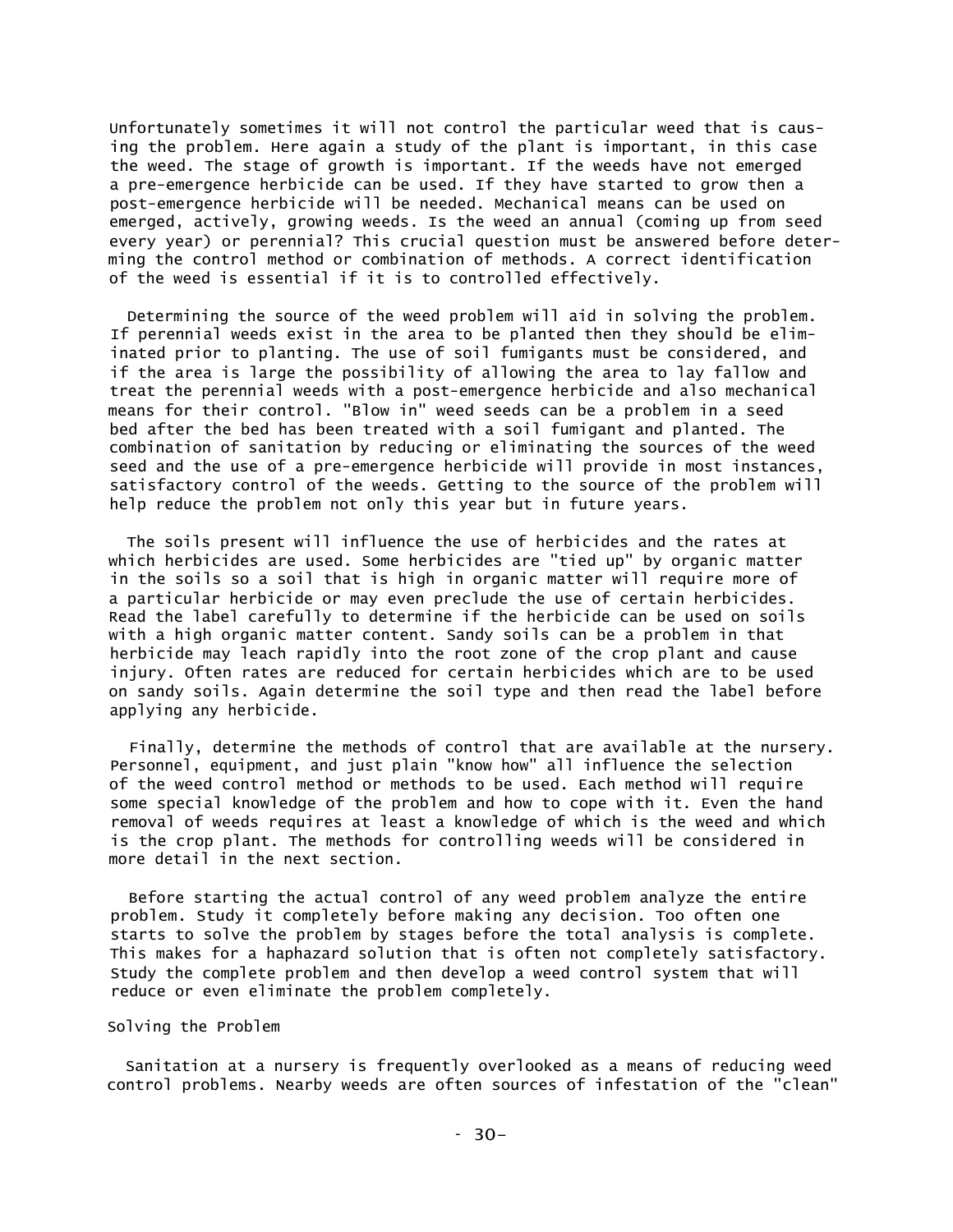Unfortunately sometimes it will not control the particular weed that is causing the problem. Here again a study of the plant is important, in this case the weed. The stage of growth is important. If the weeds have not emerged a pre-emergence herbicide can be used. If they have started to grow then a post-emergence herbicide will be needed. Mechanical means can be used on emerged, actively, growing weeds. Is the weed an annual (coming up from seed every year) or perennial? This crucial question must be answered before determing the control method or combination of methods. A correct identification of the weed is essential if it is to controlled effectively.

Determining the source of the weed problem will aid in solving the problem. If perennial weeds exist in the area to be planted then they should be eliminated prior to planting. The use of soil fumigants must be considered, and if the area is large the possibility of allowing the area to lay fallow and treat the perennial weeds with a post-emergence herbicide and also mechanical means for their control. "Blow in" weed seeds can be a problem in a seed bed after the bed has been treated with a soil fumigant and planted. The combination of sanitation by reducing or eliminating the sources of the weed seed and the use of a pre-emergence herbicide will provide in most instances, satisfactory control of the weeds. Getting to the source of the problem will help reduce the problem not only this year but in future years.

The soils present will influence the use of herbicides and the rates at which herbicides are used. Some herbicides are "tied up" by organic matter in the soils so a soil that is high in organic matter will require more of a particular herbicide or may even preclude the use of certain herbicides. Read the label carefully to determine if the herbicide can be used on soils with a high organic matter content. Sandy soils can be a problem in that herbicide may leach rapidly into the root zone of the crop plant and cause injury. Often rates are reduced for certain herbicides which are to be used on sandy soils. Again determine the soil type and then read the label before applying any herbicide.

Finally, determine the methods of control that are available at the nursery. Personnel, equipment, and just plain "know how" all influence the selection of the weed control method or methods to be used. Each method will require some special knowledge of the problem and how to cope with it. Even the hand removal of weeds requires at least a knowledge of which is the weed and which is the crop plant. The methods for controlling weeds will be considered in more detail in the next section.

Before starting the actual control of any weed problem analyze the entire problem. Study it completely before making any decision. Too often one starts to solve the problem by stages before the total analysis is complete. This makes for a haphazard solution that is often not completely satisfactory. Study the complete problem and then develop a weed control system that will reduce or even eliminate the problem completely.

### Solving the Problem

Sanitation at a nursery is frequently overlooked as a means of reducing weed control problems. Nearby weeds are often sources of infestation of the "clean"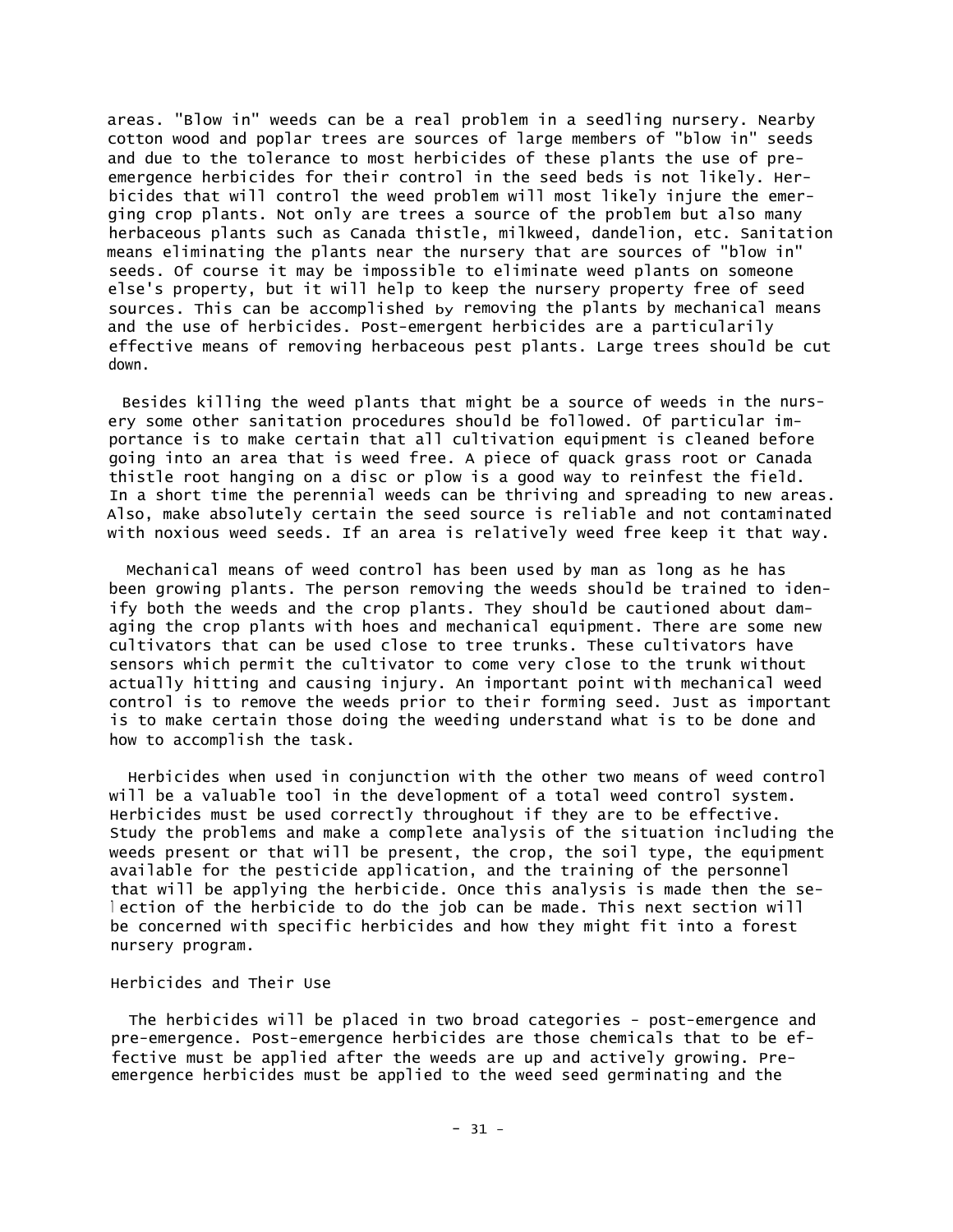areas. "Blow in" weeds can be a real problem in a seedling nursery. Nearby cotton wood and poplar trees are sources of large members of "blow in" seeds and due to the tolerance to most herbicides of these plants the use of preemergence herbicides for their control in the seed beds is not likely. Herbicides that will control the weed problem will most likely injure the emerging crop plants. Not only are trees a source of the problem but also many herbaceous plants such as Canada thistle, milkweed, dandelion, etc. Sanitation means eliminating the plants near the nursery that are sources of "blow in" seeds. Of course it may be impossible to eliminate weed plants on someone else's property, but it will help to keep the nursery property free of seed sources. This can be accomplished by removing the plants by mechanical means and the use of herbicides. Post-emergent herbicides are a particularily effective means of removing herbaceous pest plants. Large trees should be cut down.

Besides killing the weed plants that might be a source of weeds in the nursery some other sanitation procedures should be followed. Of particular importance is to make certain that all cultivation equipment is cleaned before going into an area that is weed free. A piece of quack grass root or Canada thistle root hanging on a disc or plow is a good way to reinfest the field. In a short time the perennial weeds can be thriving and spreading to new areas. Also, make absolutely certain the seed source is reliable and not contaminated with noxious weed seeds. If an area is relatively weed free keep it that way.

Mechanical means of weed control has been used by man as long as he has been growing plants. The person removing the weeds should be trained to idenify both the weeds and the crop plants. They should be cautioned about damaging the crop plants with hoes and mechanical equipment. There are some new cultivators that can be used close to tree trunks. These cultivators have sensors which permit the cultivator to come very close to the trunk without actually hitting and causing injury. An important point with mechanical weed control is to remove the weeds prior to their forming seed. Just as important is to make certain those doing the weeding understand what is to be done and how to accomplish the task.

Herbicides when used in conjunction with the other two means of weed control will be a valuable tool in the development of a total weed control system. Herbicides must be used correctly throughout if they are to be effective. Study the problems and make a complete analysis of the situation including the weeds present or that will be present, the crop, the soil type, the equipment available for the pesticide application, and the training of the personnel that will be applying the herbicide. Once this analysis is made then the se<sup>l</sup> ection of the herbicide to do the job can be made. This next section will be concerned with specific herbicides and how they might fit into a forest nursery program.

#### Herbicides and Their Use

The herbicides will be placed in two broad categories - post-emergence and pre-emergence. Post-emergence herbicides are those chemicals that to be effective must be applied after the weeds are up and actively growing. Preemergence herbicides must be applied to the weed seed germinating and the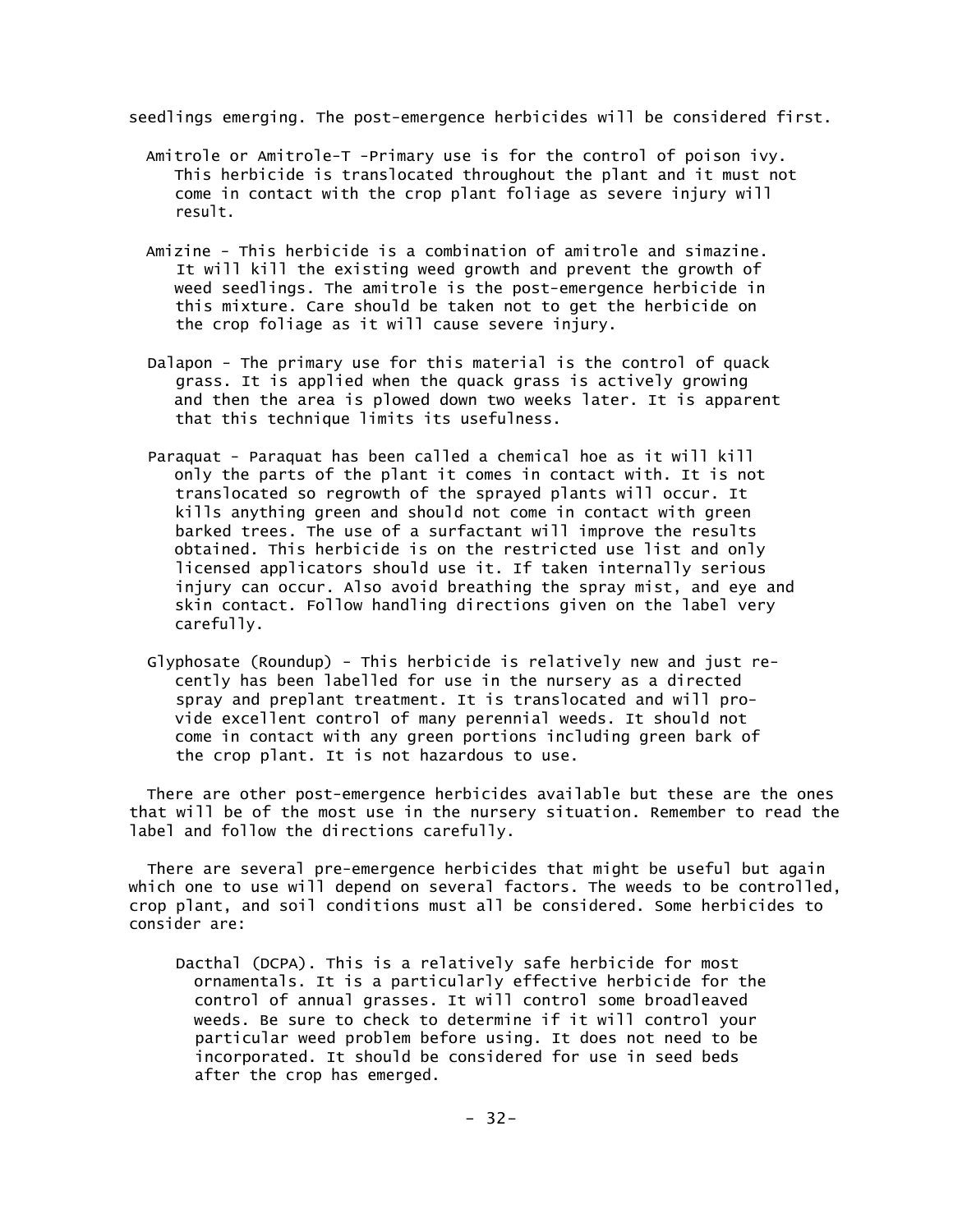seedlings emerging. The post-emergence herbicides will be considered first.

- Amitrole or Amitrole-T -Primary use is for the control of poison ivy. This herbicide is translocated throughout the plant and it must not come in contact with the crop plant foliage as severe injury will result.
- Amizine This herbicide is a combination of amitrole and simazine. It will kill the existing weed growth and prevent the growth of weed seedlings. The amitrole is the post-emergence herbicide in this mixture. Care should be taken not to get the herbicide on the crop foliage as it will cause severe injury.
- Dalapon The primary use for this material is the control of quack grass. It is applied when the quack grass is actively growing and then the area is plowed down two weeks later. It is apparent that this technique limits its usefulness.
- Paraquat Paraquat has been called a chemical hoe as it will kill only the parts of the plant it comes in contact with. It is not translocated so regrowth of the sprayed plants will occur. It kills anything green and should not come in contact with green barked trees. The use of a surfactant will improve the results obtained. This herbicide is on the restricted use list and only licensed applicators should use it. If taken internally serious injury can occur. Also avoid breathing the spray mist, and eye and skin contact. Follow handling directions given on the label very carefully.
- Glyphosate (Roundup) This herbicide is relatively new and just recently has been labelled for use in the nursery as a directed spray and preplant treatment. It is translocated and will provide excellent control of many perennial weeds. It should not come in contact with any green portions including green bark of the crop plant. It is not hazardous to use.

There are other post-emergence herbicides available but these are the ones that will be of the most use in the nursery situation. Remember to read the label and follow the directions carefully.

There are several pre-emergence herbicides that might be useful but again which one to use will depend on several factors. The weeds to be controlled, crop plant, and soil conditions must all be considered. Some herbicides to consider are:

Dacthal (DCPA). This is a relatively safe herbicide for most ornamentals. It is a particularly effective herbicide for the control of annual grasses. It will control some broadleaved weeds. Be sure to check to determine if it will control your particular weed problem before using. It does not need to be incorporated. It should be considered for use in seed beds after the crop has emerged.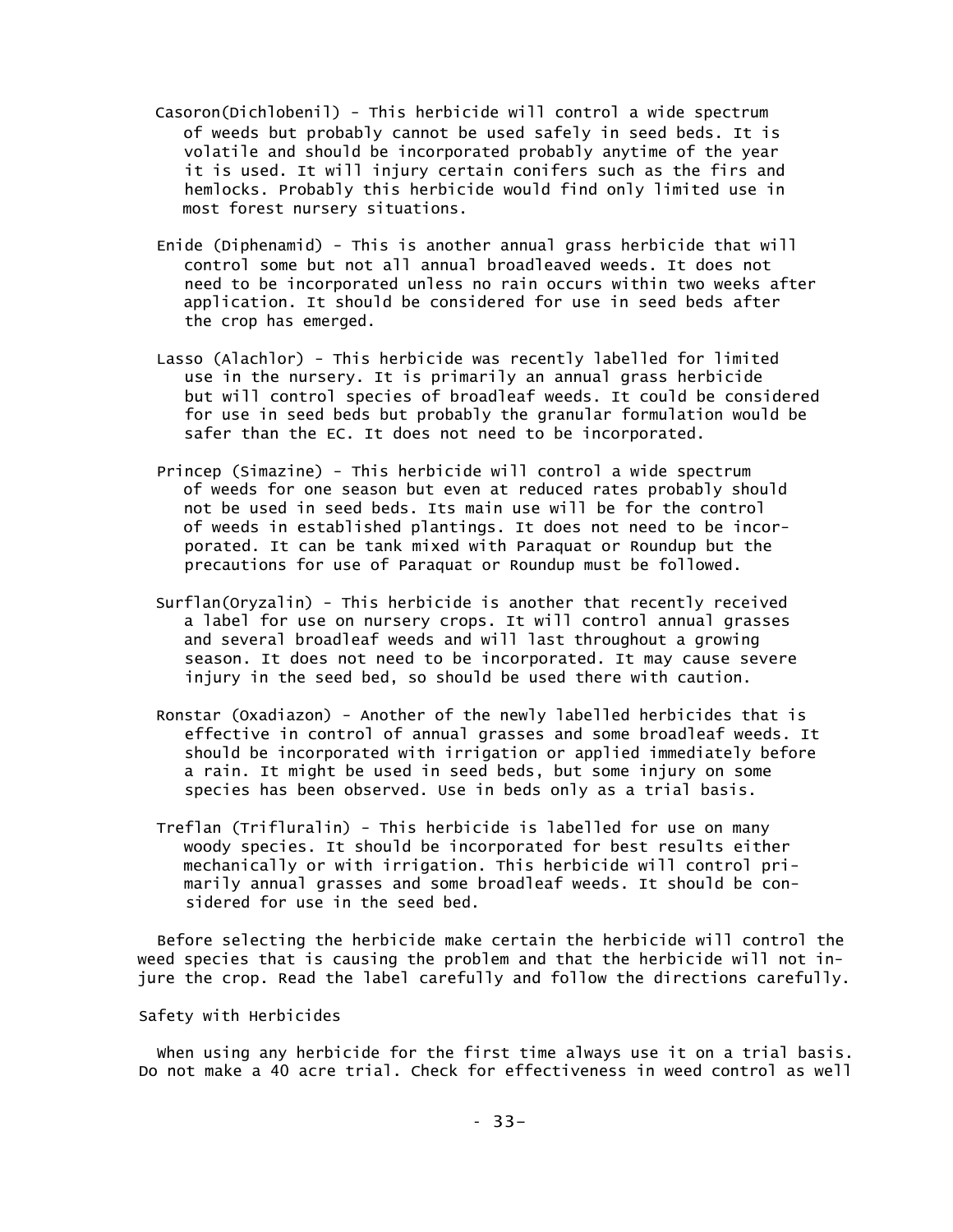- Casoron(Dichlobenil) This herbicide will control a wide spectrum of weeds but probably cannot be used safely in seed beds. It is volatile and should be incorporated probably anytime of the year it is used. It will injury certain conifers such as the firs and hemlocks. Probably this herbicide would find only limited use in most forest nursery situations.
- Enide (Diphenamid) This is another annual grass herbicide that will control some but not all annual broadleaved weeds. It does not need to be incorporated unless no rain occurs within two weeks after application. It should be considered for use in seed beds after the crop has emerged.
- Lasso (Alachlor) This herbicide was recently labelled for limited use in the nursery. It is primarily an annual grass herbicide but will control species of broadleaf weeds. It could be considered for use in seed beds but probably the granular formulation would be safer than the EC. It does not need to be incorporated.
- Princep (Simazine) This herbicide will control a wide spectrum of weeds for one season but even at reduced rates probably should not be used in seed beds. Its main use will be for the control of weeds in established plantings. It does not need to be incorporated. It can be tank mixed with Paraquat or Roundup but the precautions for use of Paraquat or Roundup must be followed.
- Surflan(Oryzalin) This herbicide is another that recently received a label for use on nursery crops. It will control annual grasses and several broadleaf weeds and will last throughout a growing season. It does not need to be incorporated. It may cause severe injury in the seed bed, so should be used there with caution.
- Ronstar (Oxadiazon) Another of the newly labelled herbicides that is effective in control of annual grasses and some broadleaf weeds. It should be incorporated with irrigation or applied immediately before a rain. It might be used in seed beds, but some injury on some species has been observed. Use in beds only as a trial basis.
- Treflan (Trifluralin) This herbicide is labelled for use on many woody species. It should be incorporated for best results either mechanically or with irrigation. This herbicide will control primarily annual grasses and some broadleaf weeds. It should be considered for use in the seed bed.

Before selecting the herbicide make certain the herbicide will control the weed species that is causing the problem and that the herbicide will not injure the crop. Read the label carefully and follow the directions carefully.

Safety with Herbicides

When using any herbicide for the first time always use it on a trial basis. Do not make a 40 acre trial. Check for effectiveness in weed control as well